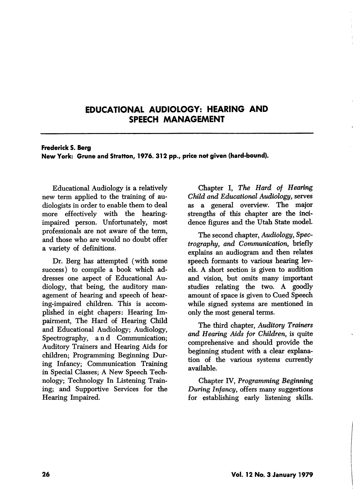## EDUCATIONAL AUDIOLOGY: HEARING AND SPEECH MANAGEMENT

## Frederick S. Berg New York: Grune and Stratton, 1976. 312 pp., price not given (hard-bound).

Educational Audiology is a relatively new term applied to the training of audiologists in order to enable them to deal more effectively with the hearingimpaired person. Unfortunately, most professionals are not aware of the term, and those who are would no doubt offer a variety of definitions.

Dr. Berg has attempted (with some success) to compile a book which ad dresses one aspect of Educational Au diology, that being, the auditory man agement of hearing and speech of hear ing-impaired children. This is accom plished in eight chapers: Hearing Im pairment, The Hard of Hearing Child and Educational Audiology; Audiology, Spectrography, and Communication; Auditory Trainers and Hearing Aids for children; Programming Beginning Dur ing Infancy; Communication Training in Special Classes; A New Speech Tech nology; Technology In Listening Train ing; and Supportive Services for the Hearing Impaired.

Chapter I, The Hard of Hearing Child and Educational Audiology, serves as a general overview. The major strengths of this chapter are the inci dence figures and the Utah State model.

The second chapter, Audiology, Spec trography, and Communication, briefly explains an audiogram and then relates speech formants to various hearing levels. A short section is given to audition and vision, but omits many important studies relating the two. A goodly amount of space is given to Cued Speech while signed systems are mentioned in only the most general terms.

The third chapter. Auditory Trainers and Hearing Aids for Children, is quite comprehensive and should provide the beginning student with a clear explana tion of the various systems currently available.

Chapter IV, Programming Beginning During Infancy, offers many suggestions for establishing early listening skills.